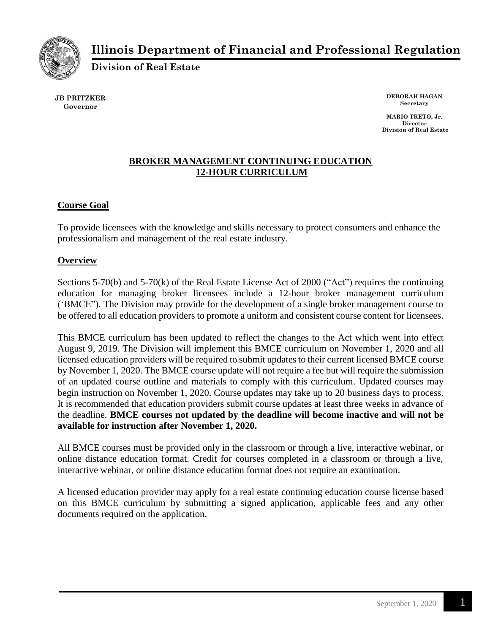

# **Illinois Department of Financial and Professional Regulation**

**Division of Real Estate**

**JB PRITZKER Governor**

**DEBORAH HAGAN Secretary**

**MARIO TRETO, Jr. Director Division of Real Estate**

# **BROKER MANAGEMENT CONTINUING EDUCATION 12-HOUR CURRICULUM**

# **Course Goal**

To provide licensees with the knowledge and skills necessary to protect consumers and enhance the professionalism and management of the real estate industry.

## **Overview**

Sections 5-70(b) and 5-70(k) of the Real Estate License Act of 2000 ("Act") requires the continuing education for managing broker licensees include a 12-hour broker management curriculum ('BMCE"). The Division may provide for the development of a single broker management course to be offered to all education providers to promote a uniform and consistent course content for licensees.

This BMCE curriculum has been updated to reflect the changes to the Act which went into effect August 9, 2019. The Division will implement this BMCE curriculum on November 1, 2020 and all licensed education providers will be required to submit updates to their current licensed BMCE course by November 1, 2020. The BMCE course update will not require a fee but will require the submission of an updated course outline and materials to comply with this curriculum. Updated courses may begin instruction on November 1, 2020. Course updates may take up to 20 business days to process. It is recommended that education providers submit course updates at least three weeks in advance of the deadline. **BMCE courses not updated by the deadline will become inactive and will not be available for instruction after November 1, 2020.**

All BMCE courses must be provided only in the classroom or through a live, interactive webinar, or online distance education format. Credit for courses completed in a classroom or through a live, interactive webinar, or online distance education format does not require an examination.

A licensed education provider may apply for a real estate continuing education course license based on this BMCE curriculum by submitting a signed application, applicable fees and any other documents required on the application.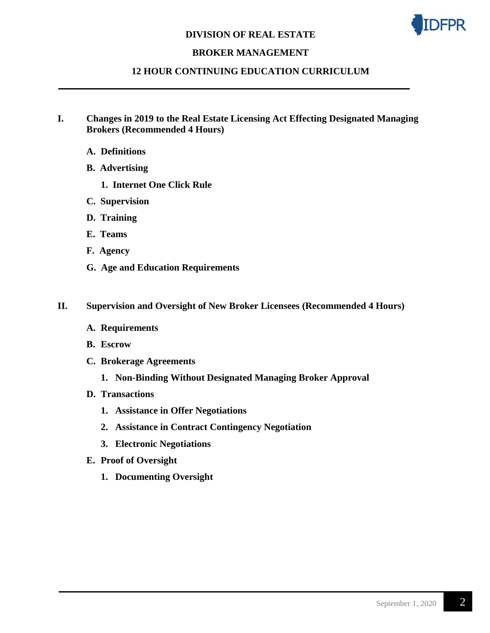#### **DIVISION OF REAL ESTATE**



## **BROKER MANAGEMENT**

#### **12 HOUR CONTINUING EDUCATION CURRICULUM**

- **I. Changes in 2019 to the Real Estate Licensing Act Effecting Designated Managing Brokers (Recommended 4 Hours)**
	- **A. Definitions**
	- **B. Advertising**
		- **1. Internet One Click Rule**
	- **C. Supervision**
	- **D. Training**
	- **E. Teams**
	- **F. Agency**
	- **G. Age and Education Requirements**

#### **II. Supervision and Oversight of New Broker Licensees (Recommended 4 Hours)**

- **A. Requirements**
- **B. Escrow**
- **C. Brokerage Agreements**
	- **1. Non-Binding Without Designated Managing Broker Approval**
- **D. Transactions**
	- **1. Assistance in Offer Negotiations**
	- **2. Assistance in Contract Contingency Negotiation**
	- **3. Electronic Negotiations**
- **E. Proof of Oversight**
	- **1. Documenting Oversight**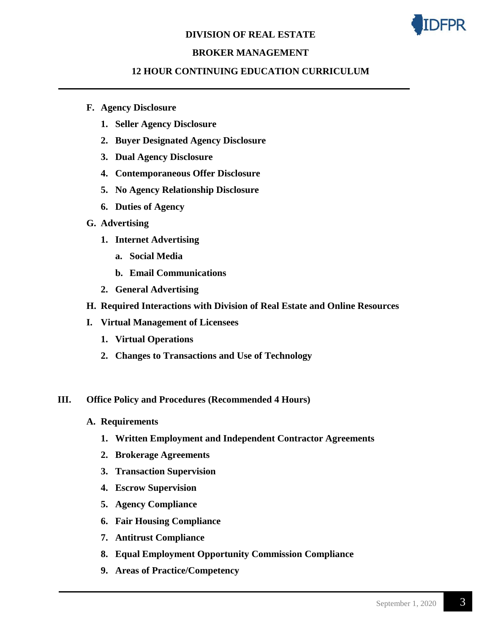### **DIVISION OF REAL ESTATE**



## **BROKER MANAGEMENT**

### **12 HOUR CONTINUING EDUCATION CURRICULUM**

- **F. Agency Disclosure**
	- **1. Seller Agency Disclosure**
	- **2. Buyer Designated Agency Disclosure**
	- **3. Dual Agency Disclosure**
	- **4. Contemporaneous Offer Disclosure**
	- **5. No Agency Relationship Disclosure**
	- **6. Duties of Agency**
- **G. Advertising**
	- **1. Internet Advertising**
		- **a. Social Media**
		- **b. Email Communications**
	- **2. General Advertising**
- **H. Required Interactions with Division of Real Estate and Online Resources**
- **I. Virtual Management of Licensees**
	- **1. Virtual Operations**
	- **2. Changes to Transactions and Use of Technology**

#### **III. Office Policy and Procedures (Recommended 4 Hours)**

- **A. Requirements**
	- **1. Written Employment and Independent Contractor Agreements**
	- **2. Brokerage Agreements**
	- **3. Transaction Supervision**
	- **4. Escrow Supervision**
	- **5. Agency Compliance**
	- **6. Fair Housing Compliance**
	- **7. Antitrust Compliance**
	- **8. Equal Employment Opportunity Commission Compliance**
	- **9. Areas of Practice/Competency**